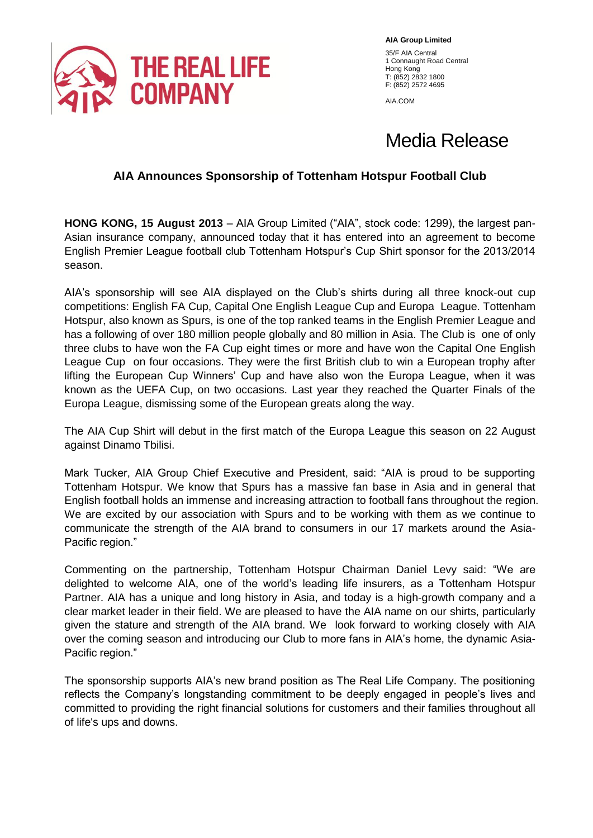

**AIA Group Limited** 35/F AIA Central 1 Connaught Road Central Hong Kong T: (852) 2832 1800 F: (852) 2572 4695

AIA.COM

# Media Release

## **AIA Announces Sponsorship of Tottenham Hotspur Football Club**

**HONG KONG, 15 August 2013** – AIA Group Limited ("AIA", stock code: 1299), the largest pan-Asian insurance company, announced today that it has entered into an agreement to become English Premier League football club Tottenham Hotspur's Cup Shirt sponsor for the 2013/2014 season.

AIA's sponsorship will see AIA displayed on the Club's shirts during all three knock-out cup competitions: English FA Cup, Capital One English League Cup and Europa League. Tottenham Hotspur, also known as Spurs, is one of the top ranked teams in the English Premier League and has a following of over 180 million people globally and 80 million in Asia. The Club is one of only three clubs to have won the FA Cup eight times or more and have won the Capital One English League Cup on four occasions. They were the first British club to win a European trophy after lifting the European Cup Winners' Cup and have also won the Europa League, when it was known as the UEFA Cup, on two occasions. Last year they reached the Quarter Finals of the Europa League, dismissing some of the European greats along the way.

The AIA Cup Shirt will debut in the first match of the Europa League this season on 22 August against Dinamo Tbilisi.

Mark Tucker, AIA Group Chief Executive and President, said: "AIA is proud to be supporting Tottenham Hotspur. We know that Spurs has a massive fan base in Asia and in general that English football holds an immense and increasing attraction to football fans throughout the region. We are excited by our association with Spurs and to be working with them as we continue to communicate the strength of the AIA brand to consumers in our 17 markets around the Asia-Pacific region."

Commenting on the partnership, Tottenham Hotspur Chairman Daniel Levy said: "We are delighted to welcome AIA, one of the world's leading life insurers, as a Tottenham Hotspur Partner. AIA has a unique and long history in Asia, and today is a high-growth company and a clear market leader in their field. We are pleased to have the AIA name on our shirts, particularly given the stature and strength of the AIA brand. We look forward to working closely with AIA over the coming season and introducing our Club to more fans in AIA's home, the dynamic Asia-Pacific region."

The sponsorship supports AIA's new brand position as The Real Life Company. The positioning reflects the Company's longstanding commitment to be deeply engaged in people's lives and committed to providing the right financial solutions for customers and their families throughout all of life's ups and downs.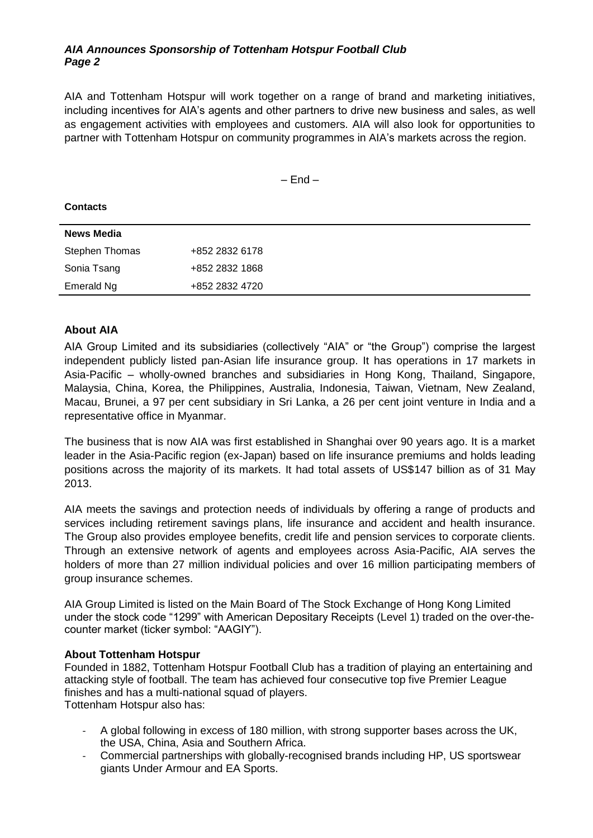#### *AIA Announces Sponsorship of Tottenham Hotspur Football Club Page 2*

AIA and Tottenham Hotspur will work together on a range of brand and marketing initiatives, including incentives for AIA's agents and other partners to drive new business and sales, as well as engagement activities with employees and customers. AIA will also look for opportunities to partner with Tottenham Hotspur on community programmes in AIA's markets across the region.

 $-$  End  $-$ 

| <b>Contacts</b> |                |
|-----------------|----------------|
| News Media      |                |
| Stephen Thomas  | +852 2832 6178 |
| Sonia Tsang     | +852 2832 1868 |
| Emerald Ng      | +852 2832 4720 |

#### **About AIA**

AIA Group Limited and its subsidiaries (collectively "AIA" or "the Group") comprise the largest independent publicly listed pan-Asian life insurance group. It has operations in 17 markets in Asia-Pacific – wholly-owned branches and subsidiaries in Hong Kong, Thailand, Singapore, Malaysia, China, Korea, the Philippines, Australia, Indonesia, Taiwan, Vietnam, New Zealand, Macau, Brunei, a 97 per cent subsidiary in Sri Lanka, a 26 per cent joint venture in India and a representative office in Myanmar.

The business that is now AIA was first established in Shanghai over 90 years ago. It is a market leader in the Asia-Pacific region (ex-Japan) based on life insurance premiums and holds leading positions across the majority of its markets. It had total assets of US\$147 billion as of 31 May 2013.

AIA meets the savings and protection needs of individuals by offering a range of products and services including retirement savings plans, life insurance and accident and health insurance. The Group also provides employee benefits, credit life and pension services to corporate clients. Through an extensive network of agents and employees across Asia-Pacific, AIA serves the holders of more than 27 million individual policies and over 16 million participating members of group insurance schemes.

AIA Group Limited is listed on the Main Board of The Stock Exchange of Hong Kong Limited under the stock code "1299" with American Depositary Receipts (Level 1) traded on the over-thecounter market (ticker symbol: "AAGIY").

#### **About Tottenham Hotspur**

Founded in 1882, Tottenham Hotspur Football Club has a tradition of playing an entertaining and attacking style of football. The team has achieved four consecutive top five Premier League finishes and has a multi-national squad of players.

Tottenham Hotspur also has:

- A global following in excess of 180 million, with strong supporter bases across the UK, the USA, China, Asia and Southern Africa.
- Commercial partnerships with globally-recognised brands including HP, US sportswear giants Under Armour and EA Sports.